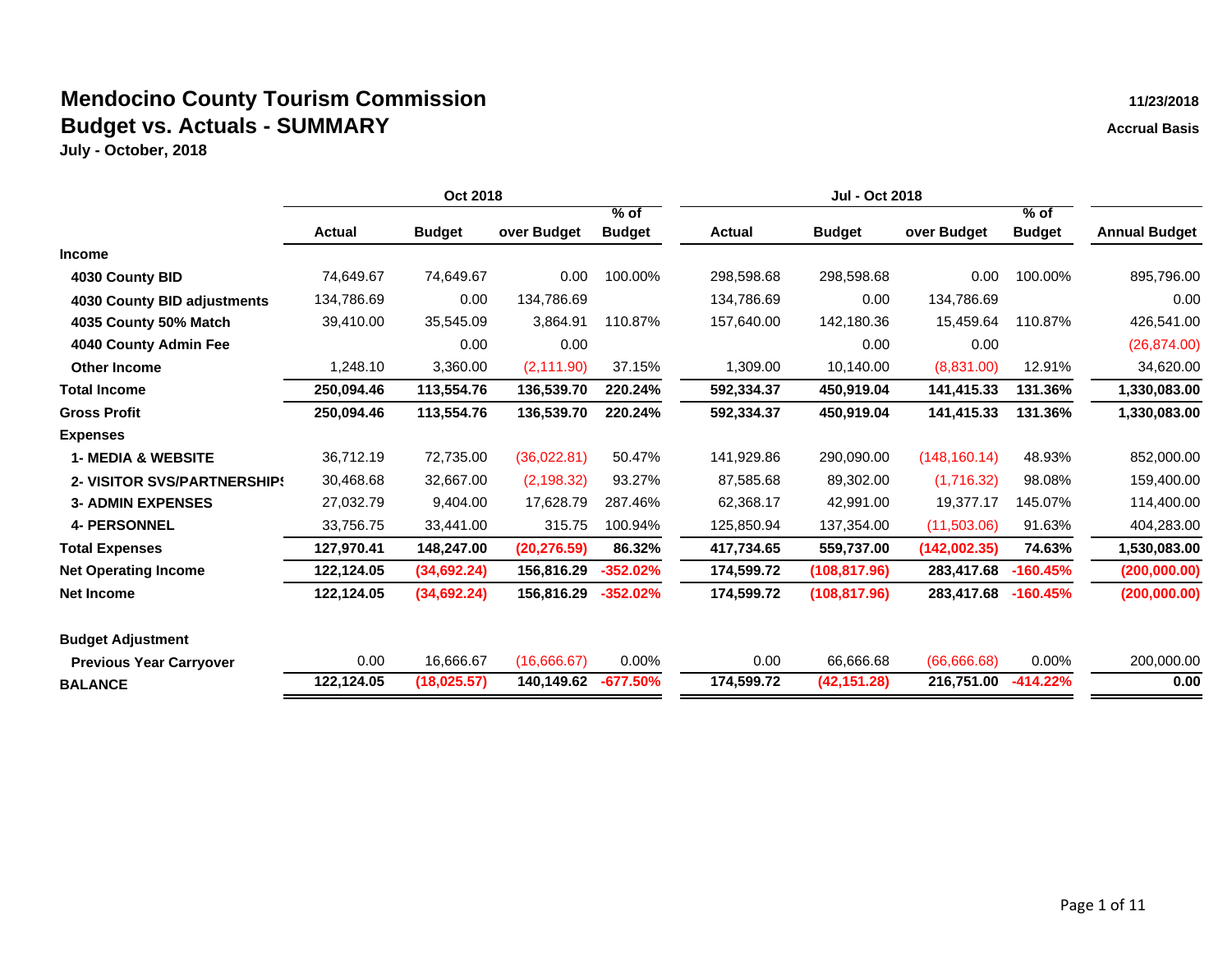|                                    | Oct 2018      |               |              |               |               | Jul - Oct 2018 |               |               |                      |
|------------------------------------|---------------|---------------|--------------|---------------|---------------|----------------|---------------|---------------|----------------------|
|                                    |               |               |              | $%$ of        |               |                |               | $%$ of        |                      |
|                                    | <b>Actual</b> | <b>Budget</b> | over Budget  | <b>Budget</b> | <b>Actual</b> | <b>Budget</b>  | over Budget   | <b>Budget</b> | <b>Annual Budget</b> |
| <b>Income</b>                      |               |               |              |               |               |                |               |               |                      |
| 4030 County BID                    | 74,649.67     | 74,649.67     | 0.00         | 100.00%       | 298,598.68    | 298,598.68     | 0.00          | 100.00%       | 895,796.00           |
| 4030 County BID adjustments        | 134,786.69    | 0.00          | 134,786.69   |               | 134,786.69    | 0.00           | 134,786.69    |               | 0.00                 |
| 4035 County 50% Match              | 39,410.00     | 35,545.09     | 3,864.91     | 110.87%       | 157,640.00    | 142,180.36     | 15,459.64     | 110.87%       | 426,541.00           |
| 4040 County Admin Fee              |               | 0.00          | 0.00         |               |               | 0.00           | 0.00          |               | (26, 874.00)         |
| <b>Other Income</b>                | 1,248.10      | 3,360.00      | (2, 111.90)  | 37.15%        | 1,309.00      | 10,140.00      | (8,831.00)    | 12.91%        | 34,620.00            |
| <b>Total Income</b>                | 250,094.46    | 113,554.76    | 136,539.70   | 220.24%       | 592,334.37    | 450,919.04     | 141,415.33    | 131.36%       | 1,330,083.00         |
| <b>Gross Profit</b>                | 250,094.46    | 113,554.76    | 136,539.70   | 220.24%       | 592,334.37    | 450,919.04     | 141,415.33    | 131.36%       | 1,330,083.00         |
| <b>Expenses</b>                    |               |               |              |               |               |                |               |               |                      |
| <b>1- MEDIA &amp; WEBSITE</b>      | 36,712.19     | 72,735.00     | (36,022.81)  | 50.47%        | 141,929.86    | 290,090.00     | (148, 160.14) | 48.93%        | 852,000.00           |
| <b>2- VISITOR SVS/PARTNERSHIPS</b> | 30,468.68     | 32,667.00     | (2, 198.32)  | 93.27%        | 87,585.68     | 89,302.00      | (1,716.32)    | 98.08%        | 159,400.00           |
| <b>3- ADMIN EXPENSES</b>           | 27,032.79     | 9,404.00      | 17,628.79    | 287.46%       | 62,368.17     | 42,991.00      | 19,377.17     | 145.07%       | 114,400.00           |
| <b>4- PERSONNEL</b>                | 33,756.75     | 33,441.00     | 315.75       | 100.94%       | 125,850.94    | 137,354.00     | (11,503.06)   | 91.63%        | 404,283.00           |
| <b>Total Expenses</b>              | 127,970.41    | 148,247.00    | (20, 276.59) | 86.32%        | 417,734.65    | 559,737.00     | (142,002.35)  | 74.63%        | 1,530,083.00         |
| <b>Net Operating Income</b>        | 122,124.05    | (34,692.24)   | 156,816.29   | $-352.02%$    | 174,599.72    | (108, 817.96)  | 283,417.68    | $-160.45%$    | (200,000.00)         |
| <b>Net Income</b>                  | 122,124.05    | (34,692.24)   | 156,816.29   | $-352.02%$    | 174,599.72    | (108, 817.96)  | 283,417.68    | $-160.45%$    | (200,000.00)         |
| <b>Budget Adjustment</b>           |               |               |              |               |               |                |               |               |                      |
| <b>Previous Year Carryover</b>     | 0.00          | 16,666.67     | (16,666.67)  | 0.00%         | 0.00          | 66,666.68      | (66,666.68)   | 0.00%         | 200,000.00           |
| <b>BALANCE</b>                     | 122,124.05    | (18,025.57)   | 140,149.62   | -677.50%      | 174,599.72    | (42, 151.28)   | 216,751.00    | $-414.22%$    | 0.00                 |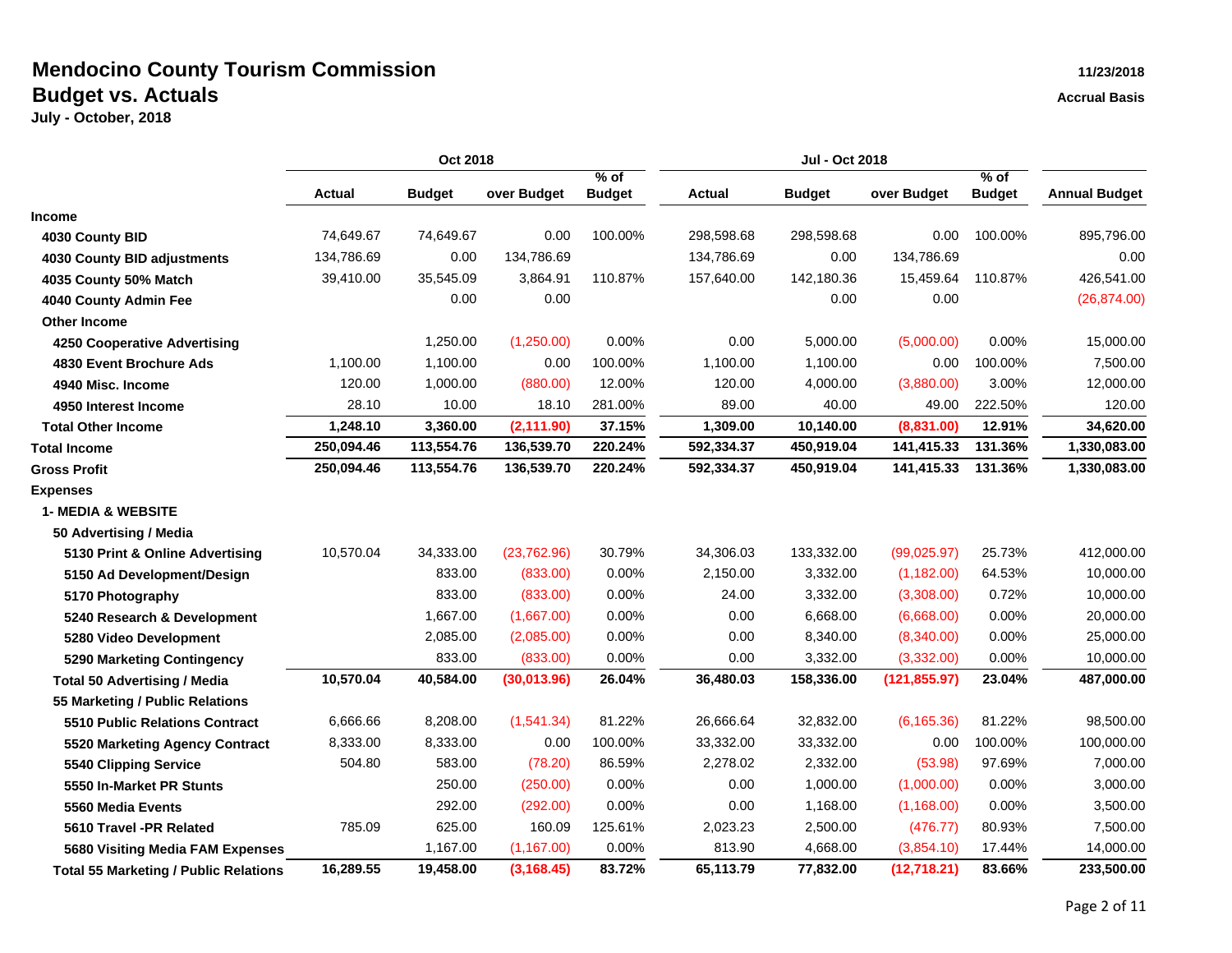|                                              | Oct 2018      |               |             | Jul - Oct 2018 |            |               |               |               |                      |
|----------------------------------------------|---------------|---------------|-------------|----------------|------------|---------------|---------------|---------------|----------------------|
|                                              |               |               |             | % of           |            |               |               | $%$ of        |                      |
|                                              | <b>Actual</b> | <b>Budget</b> | over Budget | <b>Budget</b>  | Actual     | <b>Budget</b> | over Budget   | <b>Budget</b> | <b>Annual Budget</b> |
| <b>Income</b>                                |               |               |             |                |            |               |               |               |                      |
| 4030 County BID                              | 74,649.67     | 74,649.67     | 0.00        | 100.00%        | 298,598.68 | 298,598.68    | 0.00          | 100.00%       | 895,796.00           |
| <b>4030 County BID adjustments</b>           | 134,786.69    | 0.00          | 134,786.69  |                | 134,786.69 | 0.00          | 134,786.69    |               | 0.00                 |
| 4035 County 50% Match                        | 39,410.00     | 35,545.09     | 3,864.91    | 110.87%        | 157,640.00 | 142,180.36    | 15,459.64     | 110.87%       | 426,541.00           |
| 4040 County Admin Fee                        |               | 0.00          | 0.00        |                |            | 0.00          | 0.00          |               | (26, 874.00)         |
| Other Income                                 |               |               |             |                |            |               |               |               |                      |
| <b>4250 Cooperative Advertising</b>          |               | 1,250.00      | (1,250.00)  | 0.00%          | 0.00       | 5,000.00      | (5,000.00)    | 0.00%         | 15,000.00            |
| 4830 Event Brochure Ads                      | 1,100.00      | 1,100.00      | 0.00        | 100.00%        | 1,100.00   | 1,100.00      | 0.00          | 100.00%       | 7,500.00             |
| 4940 Misc. Income                            | 120.00        | 1,000.00      | (880.00)    | 12.00%         | 120.00     | 4,000.00      | (3,880.00)    | 3.00%         | 12,000.00            |
| 4950 Interest Income                         | 28.10         | 10.00         | 18.10       | 281.00%        | 89.00      | 40.00         | 49.00         | 222.50%       | 120.00               |
| <b>Total Other Income</b>                    | 1,248.10      | 3,360.00      | (2, 111.90) | 37.15%         | 1,309.00   | 10,140.00     | (8,831.00)    | 12.91%        | 34,620.00            |
| <b>Total Income</b>                          | 250,094.46    | 113,554.76    | 136,539.70  | 220.24%        | 592,334.37 | 450,919.04    | 141,415.33    | 131.36%       | 1,330,083.00         |
| <b>Gross Profit</b>                          | 250,094.46    | 113,554.76    | 136,539.70  | 220.24%        | 592,334.37 | 450,919.04    | 141,415.33    | 131.36%       | 1,330,083.00         |
| <b>Expenses</b>                              |               |               |             |                |            |               |               |               |                      |
| <b>1- MEDIA &amp; WEBSITE</b>                |               |               |             |                |            |               |               |               |                      |
| 50 Advertising / Media                       |               |               |             |                |            |               |               |               |                      |
| 5130 Print & Online Advertising              | 10,570.04     | 34,333.00     | (23,762.96) | 30.79%         | 34,306.03  | 133,332.00    | (99,025.97)   | 25.73%        | 412,000.00           |
| 5150 Ad Development/Design                   |               | 833.00        | (833.00)    | 0.00%          | 2,150.00   | 3,332.00      | (1, 182.00)   | 64.53%        | 10,000.00            |
| 5170 Photography                             |               | 833.00        | (833.00)    | 0.00%          | 24.00      | 3,332.00      | (3,308.00)    | 0.72%         | 10,000.00            |
| 5240 Research & Development                  |               | 1,667.00      | (1,667.00)  | 0.00%          | 0.00       | 6,668.00      | (6,668.00)    | 0.00%         | 20,000.00            |
| 5280 Video Development                       |               | 2,085.00      | (2,085.00)  | 0.00%          | 0.00       | 8,340.00      | (8,340.00)    | 0.00%         | 25,000.00            |
| 5290 Marketing Contingency                   |               | 833.00        | (833.00)    | 0.00%          | 0.00       | 3,332.00      | (3,332.00)    | 0.00%         | 10,000.00            |
| <b>Total 50 Advertising / Media</b>          | 10,570.04     | 40,584.00     | (30,013.96) | 26.04%         | 36,480.03  | 158,336.00    | (121, 855.97) | 23.04%        | 487,000.00           |
| 55 Marketing / Public Relations              |               |               |             |                |            |               |               |               |                      |
| 5510 Public Relations Contract               | 6,666.66      | 8,208.00      | (1,541.34)  | 81.22%         | 26,666.64  | 32,832.00     | (6, 165.36)   | 81.22%        | 98,500.00            |
| 5520 Marketing Agency Contract               | 8,333.00      | 8,333.00      | 0.00        | 100.00%        | 33,332.00  | 33,332.00     | 0.00          | 100.00%       | 100,000.00           |
| 5540 Clipping Service                        | 504.80        | 583.00        | (78.20)     | 86.59%         | 2,278.02   | 2,332.00      | (53.98)       | 97.69%        | 7,000.00             |
| 5550 In-Market PR Stunts                     |               | 250.00        | (250.00)    | 0.00%          | 0.00       | 1,000.00      | (1,000.00)    | 0.00%         | 3,000.00             |
| 5560 Media Events                            |               | 292.00        | (292.00)    | 0.00%          | 0.00       | 1,168.00      | (1, 168.00)   | 0.00%         | 3,500.00             |
| 5610 Travel -PR Related                      | 785.09        | 625.00        | 160.09      | 125.61%        | 2,023.23   | 2,500.00      | (476.77)      | 80.93%        | 7,500.00             |
| <b>5680 Visiting Media FAM Expenses</b>      |               | 1,167.00      | (1, 167.00) | 0.00%          | 813.90     | 4,668.00      | (3,854.10)    | 17.44%        | 14,000.00            |
| <b>Total 55 Marketing / Public Relations</b> | 16,289.55     | 19,458.00     | (3, 168.45) | 83.72%         | 65,113.79  | 77,832.00     | (12,718.21)   | 83.66%        | 233,500.00           |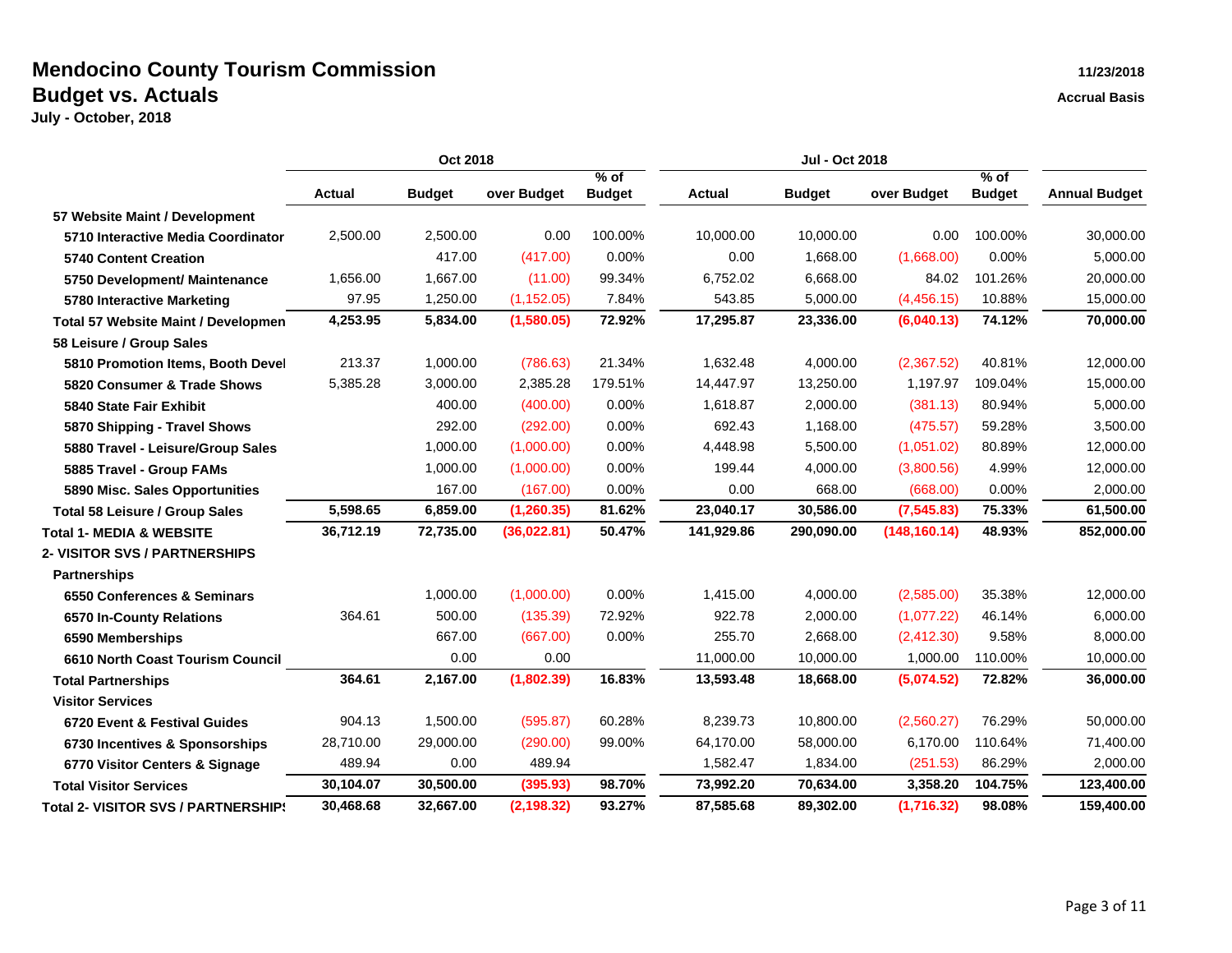|                                            | Oct 2018  |               |             | <b>Jul - Oct 2018</b> |               |               |               |                       |                      |
|--------------------------------------------|-----------|---------------|-------------|-----------------------|---------------|---------------|---------------|-----------------------|----------------------|
|                                            | Actual    | <b>Budget</b> | over Budget | % of<br><b>Budget</b> | <b>Actual</b> | <b>Budget</b> | over Budget   | % of<br><b>Budget</b> | <b>Annual Budget</b> |
| 57 Website Maint / Development             |           |               |             |                       |               |               |               |                       |                      |
| 5710 Interactive Media Coordinator         | 2,500.00  | 2,500.00      | 0.00        | 100.00%               | 10,000.00     | 10,000.00     | 0.00          | 100.00%               | 30,000.00            |
| <b>5740 Content Creation</b>               |           | 417.00        | (417.00)    | 0.00%                 | 0.00          | 1,668.00      | (1,668.00)    | 0.00%                 | 5,000.00             |
| 5750 Development/ Maintenance              | 1,656.00  | 1,667.00      | (11.00)     | 99.34%                | 6,752.02      | 6,668.00      | 84.02         | 101.26%               | 20,000.00            |
| 5780 Interactive Marketing                 | 97.95     | 1,250.00      | (1, 152.05) | 7.84%                 | 543.85        | 5,000.00      | (4,456.15)    | 10.88%                | 15,000.00            |
| <b>Total 57 Website Maint / Developmen</b> | 4,253.95  | 5,834.00      | (1,580.05)  | 72.92%                | 17,295.87     | 23,336.00     | (6,040.13)    | 74.12%                | 70,000.00            |
| 58 Leisure / Group Sales                   |           |               |             |                       |               |               |               |                       |                      |
| 5810 Promotion Items, Booth Devel          | 213.37    | 1,000.00      | (786.63)    | 21.34%                | 1.632.48      | 4,000.00      | (2,367.52)    | 40.81%                | 12,000.00            |
| 5820 Consumer & Trade Shows                | 5,385.28  | 3,000.00      | 2,385.28    | 179.51%               | 14,447.97     | 13,250.00     | 1,197.97      | 109.04%               | 15,000.00            |
| <b>5840 State Fair Exhibit</b>             |           | 400.00        | (400.00)    | 0.00%                 | 1,618.87      | 2,000.00      | (381.13)      | 80.94%                | 5,000.00             |
| 5870 Shipping - Travel Shows               |           | 292.00        | (292.00)    | 0.00%                 | 692.43        | 1,168.00      | (475.57)      | 59.28%                | 3,500.00             |
| 5880 Travel - Leisure/Group Sales          |           | 1,000.00      | (1,000.00)  | 0.00%                 | 4,448.98      | 5,500.00      | (1,051.02)    | 80.89%                | 12,000.00            |
| 5885 Travel - Group FAMs                   |           | 1,000.00      | (1,000.00)  | 0.00%                 | 199.44        | 4,000.00      | (3,800.56)    | 4.99%                 | 12,000.00            |
| 5890 Misc. Sales Opportunities             |           | 167.00        | (167.00)    | 0.00%                 | 0.00          | 668.00        | (668.00)      | 0.00%                 | 2,000.00             |
| <b>Total 58 Leisure / Group Sales</b>      | 5,598.65  | 6,859.00      | (1, 260.35) | 81.62%                | 23,040.17     | 30,586.00     | (7,545.83)    | 75.33%                | 61,500.00            |
| <b>Total 1- MEDIA &amp; WEBSITE</b>        | 36,712.19 | 72,735.00     | (36,022.81) | 50.47%                | 141,929.86    | 290,090.00    | (148, 160.14) | 48.93%                | 852,000.00           |
| <b>2- VISITOR SVS / PARTNERSHIPS</b>       |           |               |             |                       |               |               |               |                       |                      |
| <b>Partnerships</b>                        |           |               |             |                       |               |               |               |                       |                      |
| 6550 Conferences & Seminars                |           | 1,000.00      | (1,000.00)  | 0.00%                 | 1,415.00      | 4,000.00      | (2,585.00)    | 35.38%                | 12,000.00            |
| 6570 In-County Relations                   | 364.61    | 500.00        | (135.39)    | 72.92%                | 922.78        | 2,000.00      | (1,077.22)    | 46.14%                | 6,000.00             |
| 6590 Memberships                           |           | 667.00        | (667.00)    | 0.00%                 | 255.70        | 2,668.00      | (2, 412.30)   | 9.58%                 | 8,000.00             |
| 6610 North Coast Tourism Council           |           | 0.00          | 0.00        |                       | 11,000.00     | 10,000.00     | 1,000.00      | 110.00%               | 10,000.00            |
| <b>Total Partnerships</b>                  | 364.61    | 2,167.00      | (1,802.39)  | 16.83%                | 13,593.48     | 18,668.00     | (5,074.52)    | 72.82%                | 36,000.00            |
| <b>Visitor Services</b>                    |           |               |             |                       |               |               |               |                       |                      |
| 6720 Event & Festival Guides               | 904.13    | 1,500.00      | (595.87)    | 60.28%                | 8,239.73      | 10,800.00     | (2,560.27)    | 76.29%                | 50,000.00            |
| 6730 Incentives & Sponsorships             | 28,710.00 | 29,000.00     | (290.00)    | 99.00%                | 64,170.00     | 58,000.00     | 6,170.00      | 110.64%               | 71,400.00            |
| 6770 Visitor Centers & Signage             | 489.94    | 0.00          | 489.94      |                       | 1,582.47      | 1,834.00      | (251.53)      | 86.29%                | 2,000.00             |
| <b>Total Visitor Services</b>              | 30,104.07 | 30,500.00     | (395.93)    | 98.70%                | 73,992.20     | 70,634.00     | 3,358.20      | 104.75%               | 123,400.00           |
| <b>Total 2- VISITOR SVS / PARTNERSHIP!</b> | 30,468.68 | 32,667.00     | (2, 198.32) | 93.27%                | 87,585.68     | 89,302.00     | (1,716.32)    | 98.08%                | 159,400.00           |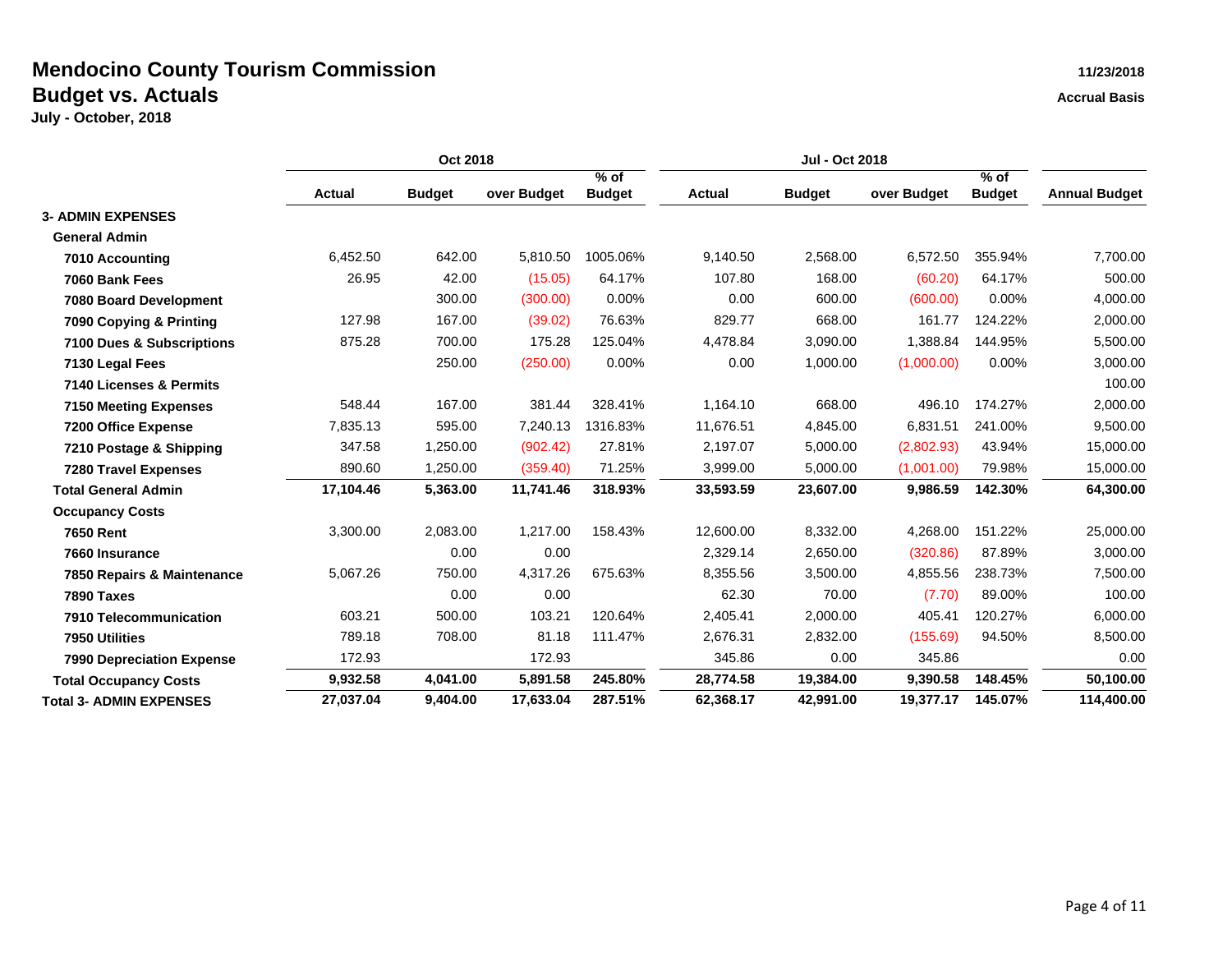|                                  | Oct 2018      |               |             | Jul - Oct 2018          |               |               |             |                         |                      |
|----------------------------------|---------------|---------------|-------------|-------------------------|---------------|---------------|-------------|-------------------------|----------------------|
|                                  | <b>Actual</b> | <b>Budget</b> | over Budget | $%$ of<br><b>Budget</b> | <b>Actual</b> | <b>Budget</b> | over Budget | $%$ of<br><b>Budget</b> | <b>Annual Budget</b> |
| <b>3- ADMIN EXPENSES</b>         |               |               |             |                         |               |               |             |                         |                      |
| <b>General Admin</b>             |               |               |             |                         |               |               |             |                         |                      |
| 7010 Accounting                  | 6,452.50      | 642.00        | 5,810.50    | 1005.06%                | 9,140.50      | 2,568.00      | 6,572.50    | 355.94%                 | 7,700.00             |
| 7060 Bank Fees                   | 26.95         | 42.00         | (15.05)     | 64.17%                  | 107.80        | 168.00        | (60.20)     | 64.17%                  | 500.00               |
| 7080 Board Development           |               | 300.00        | (300.00)    | 0.00%                   | 0.00          | 600.00        | (600.00)    | 0.00%                   | 4,000.00             |
| 7090 Copying & Printing          | 127.98        | 167.00        | (39.02)     | 76.63%                  | 829.77        | 668.00        | 161.77      | 124.22%                 | 2,000.00             |
| 7100 Dues & Subscriptions        | 875.28        | 700.00        | 175.28      | 125.04%                 | 4,478.84      | 3,090.00      | 1,388.84    | 144.95%                 | 5,500.00             |
| 7130 Legal Fees                  |               | 250.00        | (250.00)    | 0.00%                   | 0.00          | 1,000.00      | (1,000.00)  | 0.00%                   | 3,000.00             |
| 7140 Licenses & Permits          |               |               |             |                         |               |               |             |                         | 100.00               |
| <b>7150 Meeting Expenses</b>     | 548.44        | 167.00        | 381.44      | 328.41%                 | 1,164.10      | 668.00        | 496.10      | 174.27%                 | 2,000.00             |
| 7200 Office Expense              | 7,835.13      | 595.00        | 7,240.13    | 1316.83%                | 11,676.51     | 4,845.00      | 6,831.51    | 241.00%                 | 9,500.00             |
| 7210 Postage & Shipping          | 347.58        | 1,250.00      | (902.42)    | 27.81%                  | 2,197.07      | 5,000.00      | (2,802.93)  | 43.94%                  | 15,000.00            |
| <b>7280 Travel Expenses</b>      | 890.60        | 1,250.00      | (359.40)    | 71.25%                  | 3,999.00      | 5,000.00      | (1,001.00)  | 79.98%                  | 15,000.00            |
| <b>Total General Admin</b>       | 17,104.46     | 5,363.00      | 11,741.46   | 318.93%                 | 33,593.59     | 23,607.00     | 9,986.59    | 142.30%                 | 64,300.00            |
| <b>Occupancy Costs</b>           |               |               |             |                         |               |               |             |                         |                      |
| <b>7650 Rent</b>                 | 3,300.00      | 2,083.00      | 1,217.00    | 158.43%                 | 12,600.00     | 8,332.00      | 4,268.00    | 151.22%                 | 25,000.00            |
| 7660 Insurance                   |               | 0.00          | 0.00        |                         | 2,329.14      | 2,650.00      | (320.86)    | 87.89%                  | 3,000.00             |
| 7850 Repairs & Maintenance       | 5,067.26      | 750.00        | 4,317.26    | 675.63%                 | 8,355.56      | 3,500.00      | 4,855.56    | 238.73%                 | 7,500.00             |
| 7890 Taxes                       |               | 0.00          | 0.00        |                         | 62.30         | 70.00         | (7.70)      | 89.00%                  | 100.00               |
| 7910 Telecommunication           | 603.21        | 500.00        | 103.21      | 120.64%                 | 2,405.41      | 2,000.00      | 405.41      | 120.27%                 | 6,000.00             |
| 7950 Utilities                   | 789.18        | 708.00        | 81.18       | 111.47%                 | 2,676.31      | 2,832.00      | (155.69)    | 94.50%                  | 8,500.00             |
| <b>7990 Depreciation Expense</b> | 172.93        |               | 172.93      |                         | 345.86        | 0.00          | 345.86      |                         | 0.00                 |
| <b>Total Occupancy Costs</b>     | 9,932.58      | 4,041.00      | 5,891.58    | 245.80%                 | 28,774.58     | 19,384.00     | 9,390.58    | 148.45%                 | 50,100.00            |
| <b>Total 3- ADMIN EXPENSES</b>   | 27.037.04     | 9.404.00      | 17.633.04   | 287.51%                 | 62.368.17     | 42.991.00     | 19.377.17   | 145.07%                 | 114,400.00           |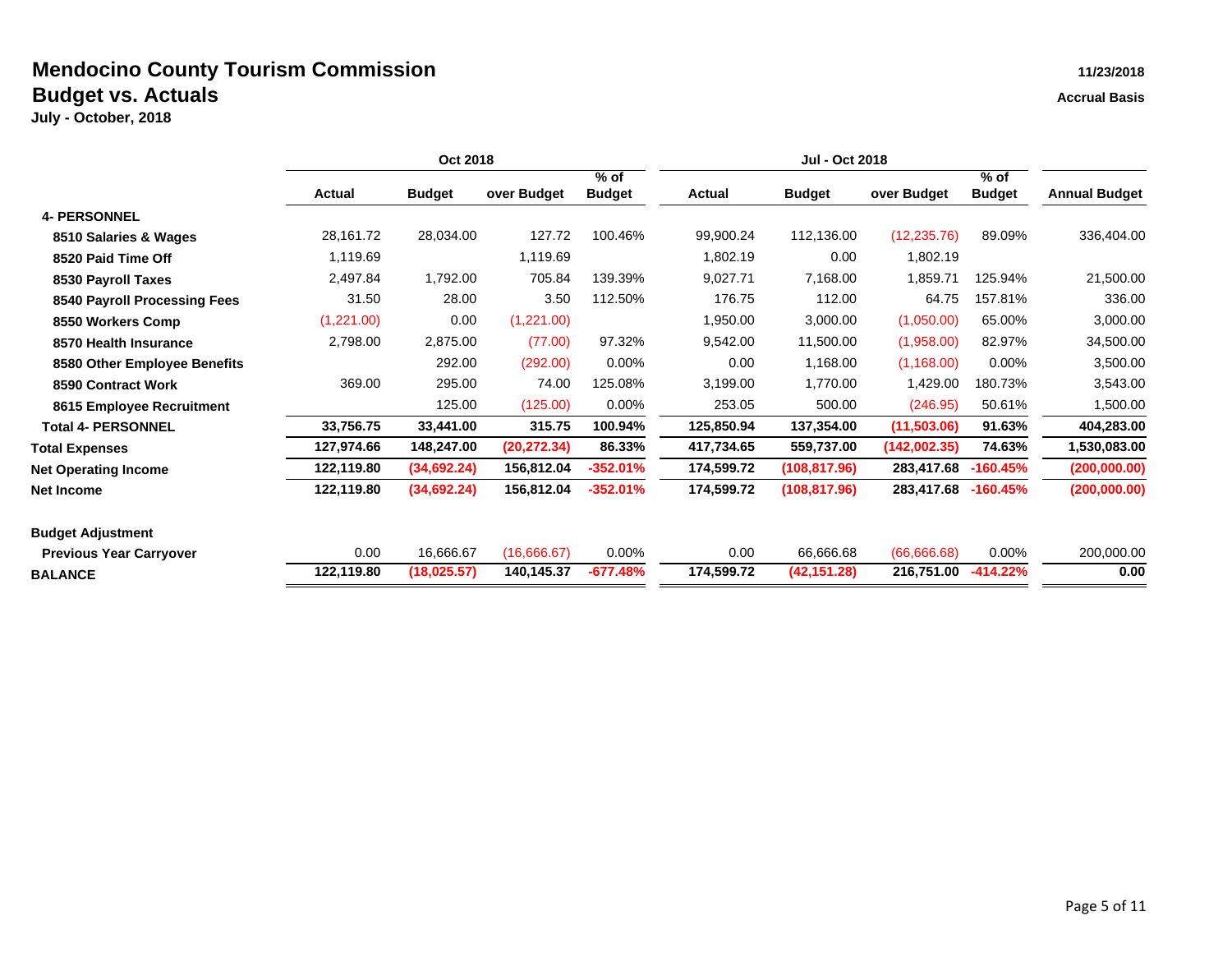|                                | Oct 2018      |               |              | <b>Jul - Oct 2018</b>   |               |               |              |                         |                      |
|--------------------------------|---------------|---------------|--------------|-------------------------|---------------|---------------|--------------|-------------------------|----------------------|
|                                | <b>Actual</b> | <b>Budget</b> | over Budget  | $%$ of<br><b>Budget</b> | <b>Actual</b> | <b>Budget</b> | over Budget  | $%$ of<br><b>Budget</b> | <b>Annual Budget</b> |
| <b>4- PERSONNEL</b>            |               |               |              |                         |               |               |              |                         |                      |
|                                | 28,161.72     | 28,034.00     | 127.72       | 100.46%                 | 99,900.24     | 112,136.00    | (12, 235.76) | 89.09%                  | 336,404.00           |
| 8510 Salaries & Wages          |               |               |              |                         |               |               |              |                         |                      |
| 8520 Paid Time Off             | 1,119.69      |               | 1,119.69     |                         | 1,802.19      | 0.00          | 1,802.19     |                         |                      |
| 8530 Payroll Taxes             | 2,497.84      | 1,792.00      | 705.84       | 139.39%                 | 9,027.71      | 7,168.00      | 1,859.71     | 125.94%                 | 21,500.00            |
| 8540 Payroll Processing Fees   | 31.50         | 28.00         | 3.50         | 112.50%                 | 176.75        | 112.00        | 64.75        | 157.81%                 | 336.00               |
| 8550 Workers Comp              | (1,221.00)    | 0.00          | (1,221.00)   |                         | 1,950.00      | 3,000.00      | (1,050.00)   | 65.00%                  | 3,000.00             |
| 8570 Health Insurance          | 2,798.00      | 2,875.00      | (77.00)      | 97.32%                  | 9,542.00      | 11,500.00     | (1,958.00)   | 82.97%                  | 34,500.00            |
| 8580 Other Employee Benefits   |               | 292.00        | (292.00)     | 0.00%                   | 0.00          | 1,168.00      | (1, 168.00)  | 0.00%                   | 3,500.00             |
| 8590 Contract Work             | 369.00        | 295.00        | 74.00        | 125.08%                 | 3,199.00      | 1,770.00      | 1,429.00     | 180.73%                 | 3,543.00             |
| 8615 Employee Recruitment      |               | 125.00        | (125.00)     | $0.00\%$                | 253.05        | 500.00        | (246.95)     | 50.61%                  | 1,500.00             |
| <b>Total 4- PERSONNEL</b>      | 33,756.75     | 33,441.00     | 315.75       | 100.94%                 | 125,850.94    | 137,354.00    | (11,503.06)  | 91.63%                  | 404,283.00           |
| <b>Total Expenses</b>          | 127,974.66    | 148,247.00    | (20, 272.34) | 86.33%                  | 417,734.65    | 559,737.00    | (142,002.35) | 74.63%                  | 1,530,083.00         |
| <b>Net Operating Income</b>    | 122,119.80    | (34,692.24)   | 156,812.04   | -352.01%                | 174,599.72    | (108, 817.96) | 283,417.68   | $-160.45%$              | (200,000.00)         |
| <b>Net Income</b>              | 122,119.80    | (34, 692.24)  | 156,812.04   | $-352.01%$              | 174,599.72    | (108, 817.96) | 283,417.68   | $-160.45%$              | (200,000.00)         |
| <b>Budget Adjustment</b>       |               |               |              |                         |               |               |              |                         |                      |
| <b>Previous Year Carryover</b> | 0.00          | 16,666.67     | (16,666.67)  | $0.00\%$                | 0.00          | 66,666.68     | (66,666,68)  | 0.00%                   | 200,000.00           |
| <b>BALANCE</b>                 | 122,119.80    | (18, 025.57)  | 140,145.37   | $-677.48%$              | 174,599.72    | (42, 151.28)  | 216,751.00   | $-414.22%$              | 0.00                 |
|                                |               |               |              |                         |               |               |              |                         |                      |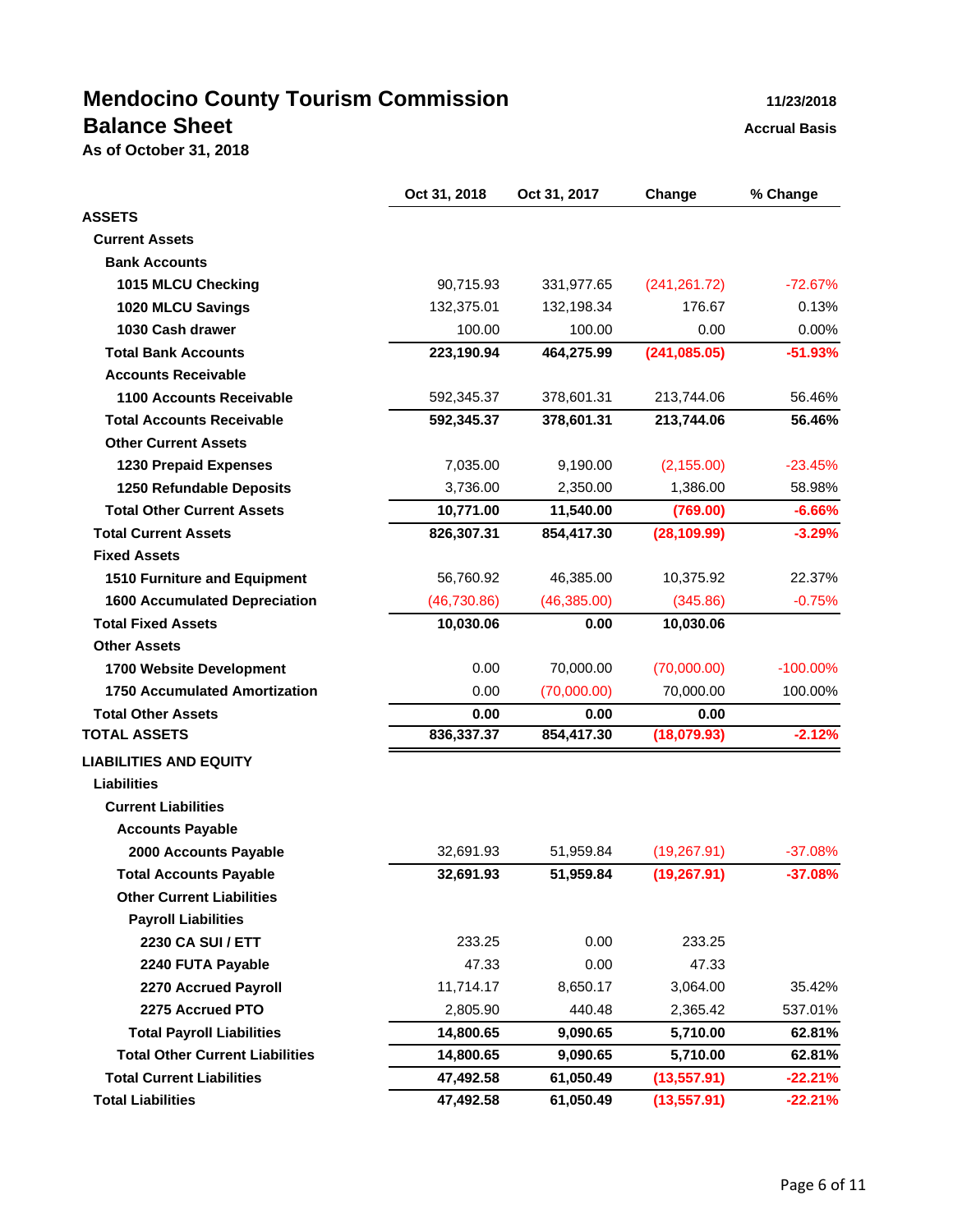# **Mendocino County Tourism Commission 11/23/2018 Balance Sheet Accrual Basis Accrual Basis**

**As of October 31, 2018**

|                                        | Oct 31, 2018 | Oct 31, 2017 | Change        | % Change    |
|----------------------------------------|--------------|--------------|---------------|-------------|
| <b>ASSETS</b>                          |              |              |               |             |
| <b>Current Assets</b>                  |              |              |               |             |
| <b>Bank Accounts</b>                   |              |              |               |             |
| 1015 MLCU Checking                     | 90,715.93    | 331,977.65   | (241, 261.72) | $-72.67%$   |
| 1020 MLCU Savings                      | 132,375.01   | 132,198.34   | 176.67        | 0.13%       |
| 1030 Cash drawer                       | 100.00       | 100.00       | 0.00          | 0.00%       |
| <b>Total Bank Accounts</b>             | 223,190.94   | 464,275.99   | (241, 085.05) | $-51.93%$   |
| <b>Accounts Receivable</b>             |              |              |               |             |
| 1100 Accounts Receivable               | 592,345.37   | 378,601.31   | 213,744.06    | 56.46%      |
| <b>Total Accounts Receivable</b>       | 592,345.37   | 378,601.31   | 213,744.06    | 56.46%      |
| <b>Other Current Assets</b>            |              |              |               |             |
| <b>1230 Prepaid Expenses</b>           | 7,035.00     | 9,190.00     | (2, 155.00)   | $-23.45%$   |
| 1250 Refundable Deposits               | 3,736.00     | 2,350.00     | 1,386.00      | 58.98%      |
| <b>Total Other Current Assets</b>      | 10,771.00    | 11,540.00    | (769.00)      | $-6.66%$    |
| <b>Total Current Assets</b>            | 826,307.31   | 854,417.30   | (28, 109.99)  | $-3.29%$    |
| <b>Fixed Assets</b>                    |              |              |               |             |
| 1510 Furniture and Equipment           | 56,760.92    | 46,385.00    | 10,375.92     | 22.37%      |
| <b>1600 Accumulated Depreciation</b>   | (46, 730.86) | (46, 385.00) | (345.86)      | $-0.75%$    |
| <b>Total Fixed Assets</b>              | 10,030.06    | 0.00         | 10,030.06     |             |
| <b>Other Assets</b>                    |              |              |               |             |
| 1700 Website Development               | 0.00         | 70,000.00    | (70,000.00)   | $-100.00\%$ |
| <b>1750 Accumulated Amortization</b>   | 0.00         | (70,000.00)  | 70,000.00     | 100.00%     |
| <b>Total Other Assets</b>              | 0.00         | 0.00         | 0.00          |             |
| <b>TOTAL ASSETS</b>                    | 836,337.37   | 854,417.30   | (18,079.93)   | $-2.12%$    |
| <b>LIABILITIES AND EQUITY</b>          |              |              |               |             |
| <b>Liabilities</b>                     |              |              |               |             |
| <b>Current Liabilities</b>             |              |              |               |             |
| <b>Accounts Payable</b>                |              |              |               |             |
| 2000 Accounts Payable                  | 32,691.93    | 51,959.84    | (19, 267.91)  | $-37.08%$   |
| <b>Total Accounts Payable</b>          | 32,691.93    | 51,959.84    | (19, 267.91)  | $-37.08%$   |
| <b>Other Current Liabilities</b>       |              |              |               |             |
| <b>Payroll Liabilities</b>             |              |              |               |             |
| 2230 CA SUI / ETT                      | 233.25       | 0.00         | 233.25        |             |
| 2240 FUTA Payable                      | 47.33        | 0.00         | 47.33         |             |
| 2270 Accrued Payroll                   | 11,714.17    | 8,650.17     | 3,064.00      | 35.42%      |
| 2275 Accrued PTO                       | 2,805.90     | 440.48       | 2,365.42      | 537.01%     |
| <b>Total Payroll Liabilities</b>       | 14,800.65    | 9,090.65     | 5,710.00      | 62.81%      |
| <b>Total Other Current Liabilities</b> | 14,800.65    | 9,090.65     | 5,710.00      | 62.81%      |
| <b>Total Current Liabilities</b>       | 47,492.58    | 61,050.49    | (13, 557.91)  | $-22.21%$   |
| <b>Total Liabilities</b>               | 47,492.58    | 61,050.49    | (13, 557.91)  | $-22.21%$   |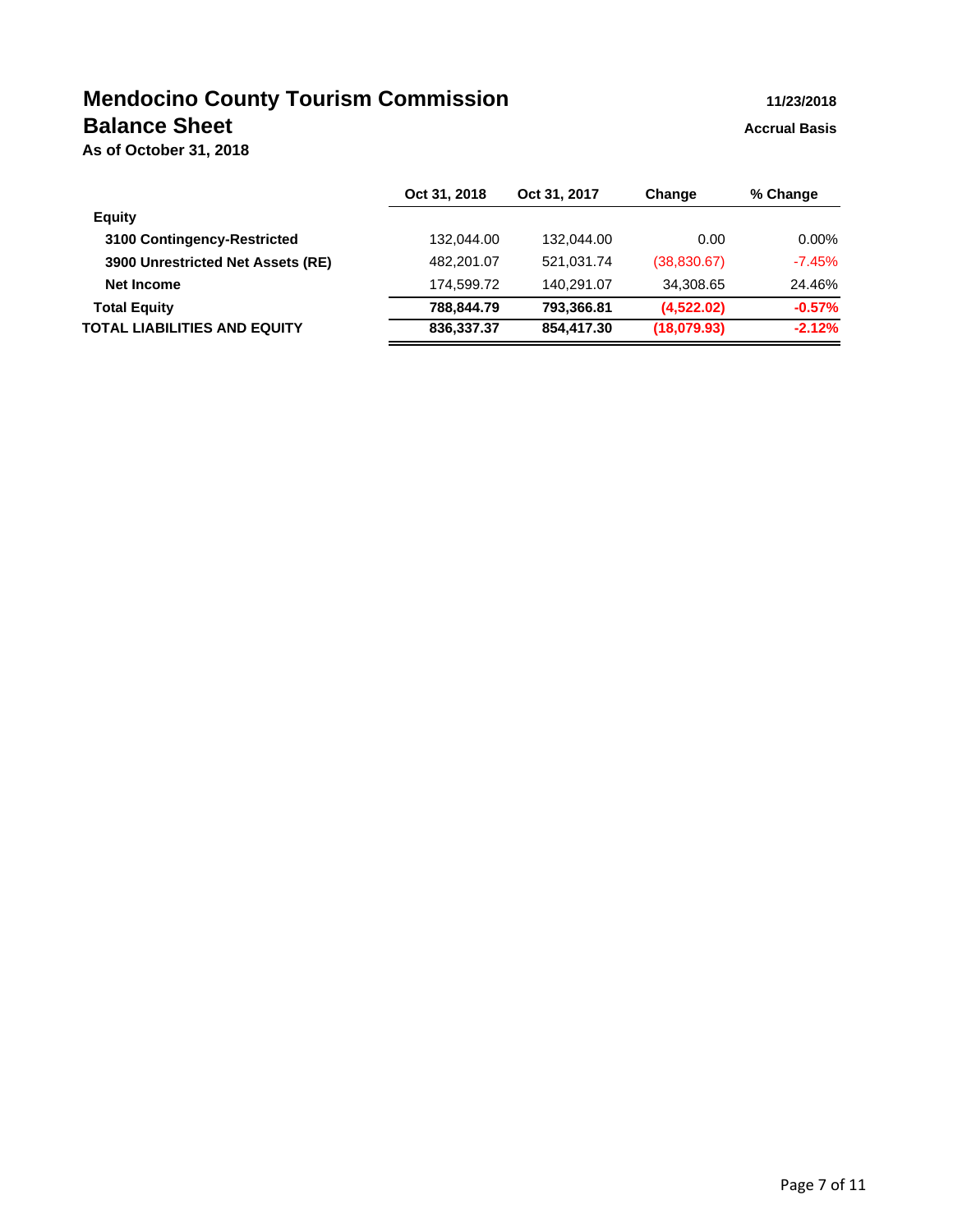# **Mendocino County Tourism Commission 11/23/2018 Balance Sheet Accrual Basis Accrual Basis**

**As of October 31, 2018**

|                                   | Oct 31, 2018 | Oct 31, 2017 | Change      | % Change |
|-----------------------------------|--------------|--------------|-------------|----------|
| <b>Equity</b>                     |              |              |             |          |
| 3100 Contingency-Restricted       | 132,044.00   | 132.044.00   | 0.00        | $0.00\%$ |
| 3900 Unrestricted Net Assets (RE) | 482,201.07   | 521,031.74   | (38,830.67) | $-7.45%$ |
| Net Income                        | 174,599.72   | 140.291.07   | 34,308.65   | 24.46%   |
| <b>Total Equity</b>               | 788,844.79   | 793,366.81   | (4,522.02)  | $-0.57%$ |
| TOTAL LIABILITIES AND EQUITY      | 836,337.37   | 854,417.30   | (18,079.93) | $-2.12%$ |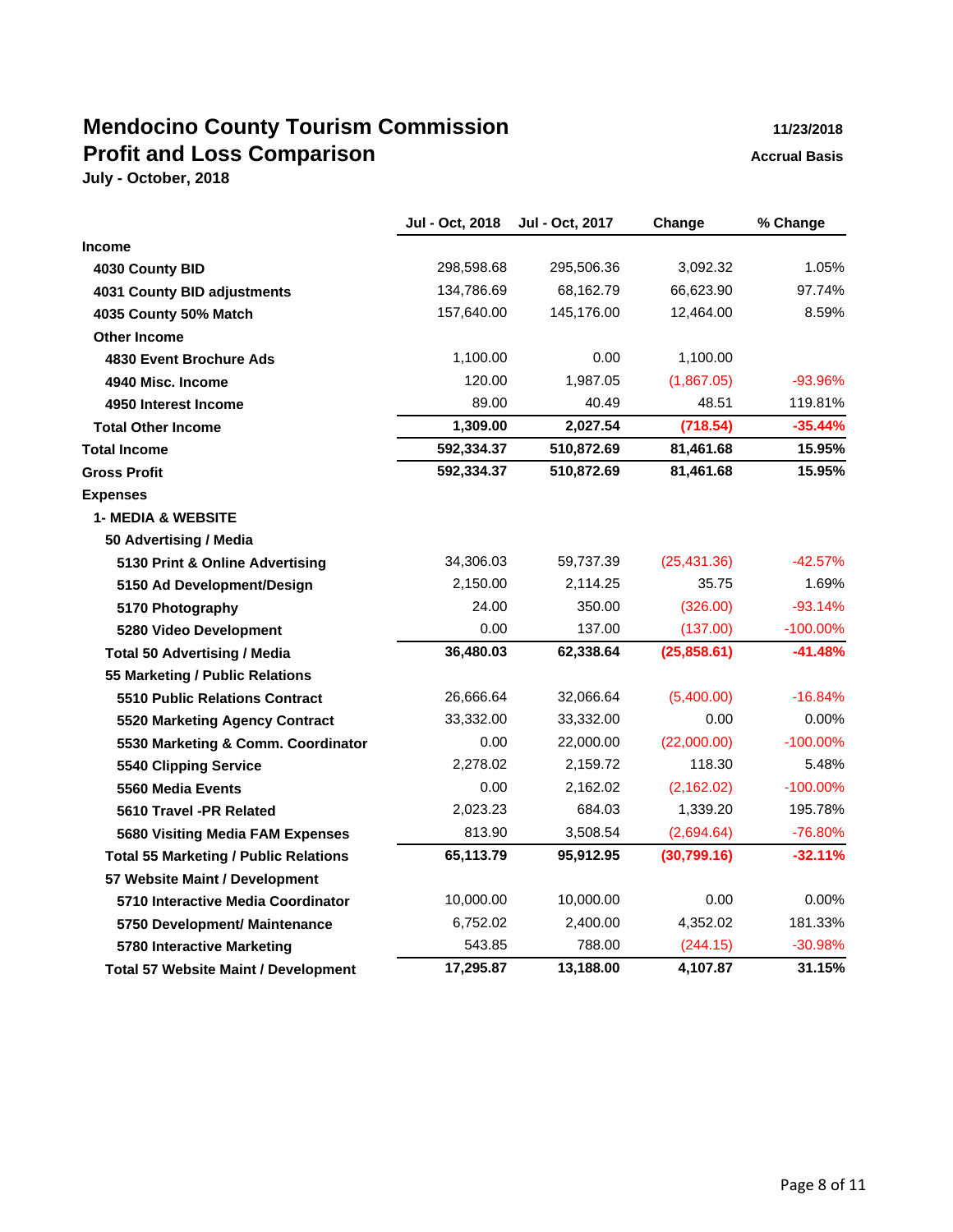# **Mendocino County Tourism Commission 11/23/2018 Profit and Loss Comparison Accrual Basis Accrual Basis**

|                                              | Jul - Oct, 2018 | Jul - Oct, 2017 | Change       | % Change    |
|----------------------------------------------|-----------------|-----------------|--------------|-------------|
| <b>Income</b>                                |                 |                 |              |             |
| 4030 County BID                              | 298,598.68      | 295,506.36      | 3,092.32     | 1.05%       |
| 4031 County BID adjustments                  | 134,786.69      | 68,162.79       | 66,623.90    | 97.74%      |
| 4035 County 50% Match                        | 157,640.00      | 145,176.00      | 12,464.00    | 8.59%       |
| <b>Other Income</b>                          |                 |                 |              |             |
| 4830 Event Brochure Ads                      | 1,100.00        | 0.00            | 1,100.00     |             |
| 4940 Misc. Income                            | 120.00          | 1,987.05        | (1,867.05)   | -93.96%     |
| 4950 Interest Income                         | 89.00           | 40.49           | 48.51        | 119.81%     |
| <b>Total Other Income</b>                    | 1,309.00        | 2,027.54        | (718.54)     | $-35.44%$   |
| <b>Total Income</b>                          | 592,334.37      | 510,872.69      | 81,461.68    | 15.95%      |
| <b>Gross Profit</b>                          | 592,334.37      | 510,872.69      | 81,461.68    | 15.95%      |
| <b>Expenses</b>                              |                 |                 |              |             |
| <b>1- MEDIA &amp; WEBSITE</b>                |                 |                 |              |             |
| 50 Advertising / Media                       |                 |                 |              |             |
| 5130 Print & Online Advertising              | 34,306.03       | 59,737.39       | (25, 431.36) | -42.57%     |
| 5150 Ad Development/Design                   | 2,150.00        | 2,114.25        | 35.75        | 1.69%       |
| 5170 Photography                             | 24.00           | 350.00          | (326.00)     | $-93.14%$   |
| 5280 Video Development                       | 0.00            | 137.00          | (137.00)     | $-100.00\%$ |
| <b>Total 50 Advertising / Media</b>          | 36,480.03       | 62,338.64       | (25,858.61)  | $-41.48%$   |
| 55 Marketing / Public Relations              |                 |                 |              |             |
| 5510 Public Relations Contract               | 26,666.64       | 32,066.64       | (5,400.00)   | $-16.84%$   |
| 5520 Marketing Agency Contract               | 33,332.00       | 33,332.00       | 0.00         | $0.00\%$    |
| 5530 Marketing & Comm. Coordinator           | 0.00            | 22,000.00       | (22,000.00)  | $-100.00\%$ |
| 5540 Clipping Service                        | 2,278.02        | 2,159.72        | 118.30       | 5.48%       |
| 5560 Media Events                            | 0.00            | 2,162.02        | (2, 162.02)  | $-100.00\%$ |
| 5610 Travel -PR Related                      | 2,023.23        | 684.03          | 1,339.20     | 195.78%     |
| 5680 Visiting Media FAM Expenses             | 813.90          | 3,508.54        | (2,694.64)   | -76.80%     |
| <b>Total 55 Marketing / Public Relations</b> | 65,113.79       | 95,912.95       | (30,799.16)  | $-32.11%$   |
| 57 Website Maint / Development               |                 |                 |              |             |
| 5710 Interactive Media Coordinator           | 10,000.00       | 10,000.00       | 0.00         | 0.00%       |
| 5750 Development/ Maintenance                | 6,752.02        | 2,400.00        | 4,352.02     | 181.33%     |
| 5780 Interactive Marketing                   | 543.85          | 788.00          | (244.15)     | $-30.98%$   |
| <b>Total 57 Website Maint / Development</b>  | 17,295.87       | 13,188.00       | 4,107.87     | 31.15%      |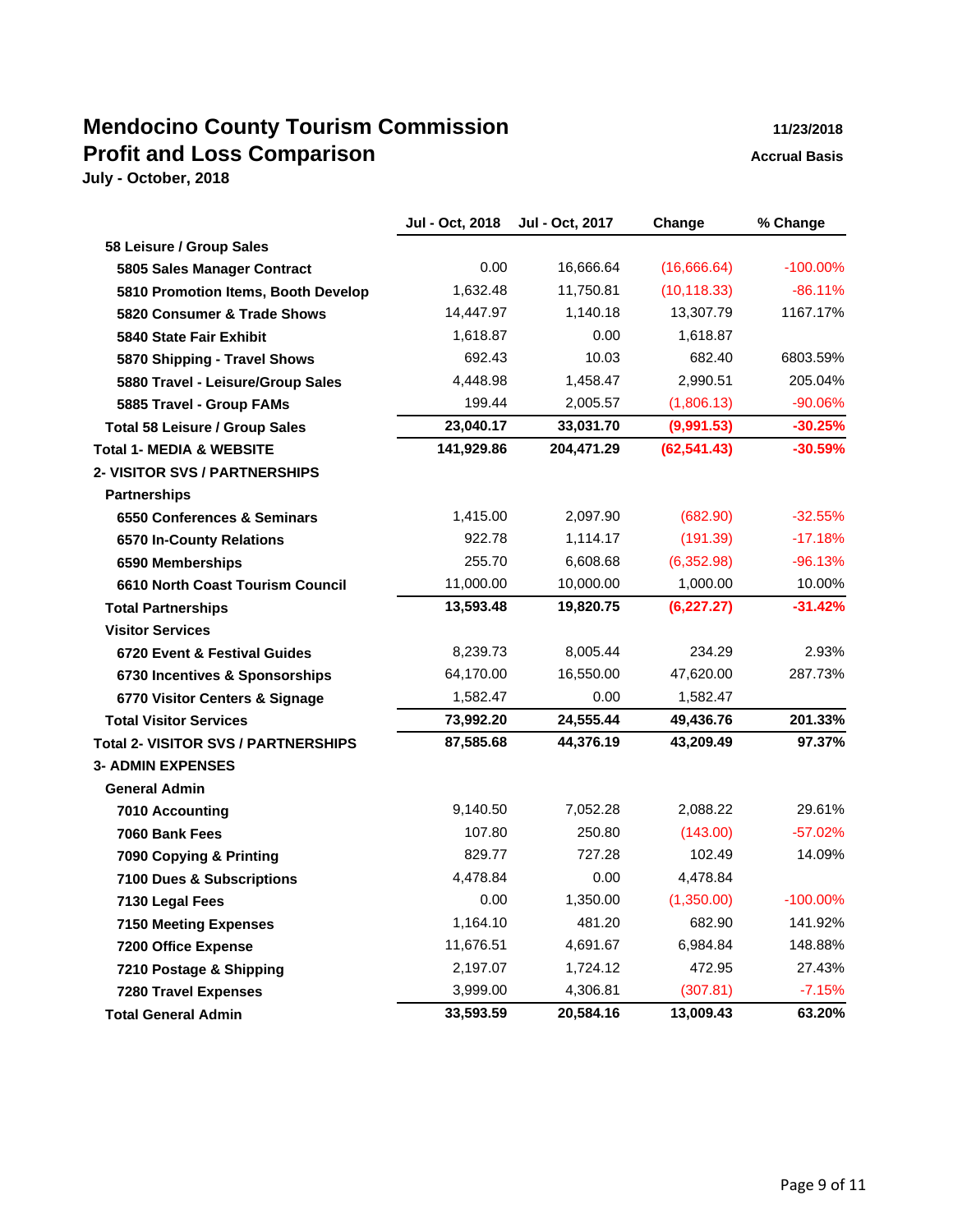# **Mendocino County Tourism Commission 11/23/2018 Profit and Loss Comparison Accrual Basis**

|                                            | Jul - Oct, 2018 | Jul - Oct, 2017 | Change       | % Change    |
|--------------------------------------------|-----------------|-----------------|--------------|-------------|
| 58 Leisure / Group Sales                   |                 |                 |              |             |
| 5805 Sales Manager Contract                | 0.00            | 16,666.64       | (16,666.64)  | $-100.00\%$ |
| 5810 Promotion Items, Booth Develop        | 1,632.48        | 11,750.81       | (10, 118.33) | $-86.11%$   |
| 5820 Consumer & Trade Shows                | 14,447.97       | 1,140.18        | 13,307.79    | 1167.17%    |
| 5840 State Fair Exhibit                    | 1,618.87        | 0.00            | 1,618.87     |             |
| 5870 Shipping - Travel Shows               | 692.43          | 10.03           | 682.40       | 6803.59%    |
| 5880 Travel - Leisure/Group Sales          | 4,448.98        | 1,458.47        | 2,990.51     | 205.04%     |
| 5885 Travel - Group FAMs                   | 199.44          | 2,005.57        | (1,806.13)   | $-90.06%$   |
| <b>Total 58 Leisure / Group Sales</b>      | 23,040.17       | 33,031.70       | (9,991.53)   | $-30.25%$   |
| <b>Total 1- MEDIA &amp; WEBSITE</b>        | 141,929.86      | 204,471.29      | (62, 541.43) | $-30.59\%$  |
| <b>2- VISITOR SVS / PARTNERSHIPS</b>       |                 |                 |              |             |
| <b>Partnerships</b>                        |                 |                 |              |             |
| 6550 Conferences & Seminars                | 1,415.00        | 2,097.90        | (682.90)     | $-32.55%$   |
| 6570 In-County Relations                   | 922.78          | 1,114.17        | (191.39)     | $-17.18%$   |
| 6590 Memberships                           | 255.70          | 6,608.68        | (6,352.98)   | $-96.13%$   |
| 6610 North Coast Tourism Council           | 11,000.00       | 10,000.00       | 1,000.00     | 10.00%      |
| <b>Total Partnerships</b>                  | 13,593.48       | 19,820.75       | (6, 227.27)  | $-31.42%$   |
| <b>Visitor Services</b>                    |                 |                 |              |             |
| 6720 Event & Festival Guides               | 8,239.73        | 8,005.44        | 234.29       | 2.93%       |
| 6730 Incentives & Sponsorships             | 64,170.00       | 16,550.00       | 47,620.00    | 287.73%     |
| 6770 Visitor Centers & Signage             | 1,582.47        | 0.00            | 1,582.47     |             |
| <b>Total Visitor Services</b>              | 73,992.20       | 24,555.44       | 49,436.76    | 201.33%     |
| <b>Total 2- VISITOR SVS / PARTNERSHIPS</b> | 87,585.68       | 44,376.19       | 43,209.49    | 97.37%      |
| <b>3- ADMIN EXPENSES</b>                   |                 |                 |              |             |
| <b>General Admin</b>                       |                 |                 |              |             |
| 7010 Accounting                            | 9,140.50        | 7,052.28        | 2,088.22     | 29.61%      |
| 7060 Bank Fees                             | 107.80          | 250.80          | (143.00)     | $-57.02%$   |
| 7090 Copying & Printing                    | 829.77          | 727.28          | 102.49       | 14.09%      |
| 7100 Dues & Subscriptions                  | 4,478.84        | 0.00            | 4,478.84     |             |
| 7130 Legal Fees                            | 0.00            | 1,350.00        | (1,350.00)   | $-100.00\%$ |
| <b>7150 Meeting Expenses</b>               | 1,164.10        | 481.20          | 682.90       | 141.92%     |
| <b>7200 Office Expense</b>                 | 11,676.51       | 4,691.67        | 6,984.84     | 148.88%     |
| 7210 Postage & Shipping                    | 2,197.07        | 1,724.12        | 472.95       | 27.43%      |
| <b>7280 Travel Expenses</b>                | 3,999.00        | 4,306.81        | (307.81)     | $-7.15%$    |
| <b>Total General Admin</b>                 | 33,593.59       | 20,584.16       | 13,009.43    | 63.20%      |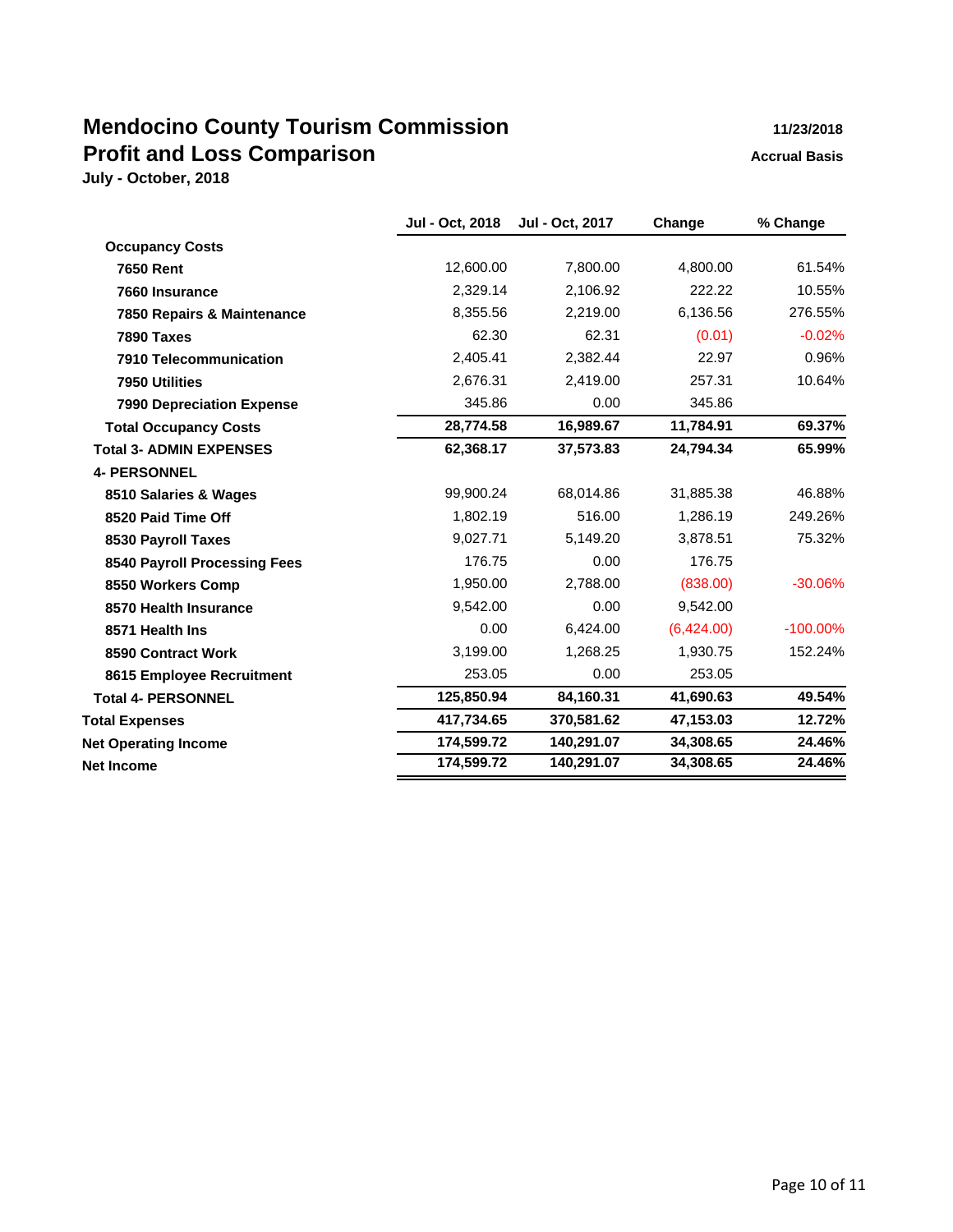# **Mendocino County Tourism Commission 11/23/2018 Profit and Loss Comparison Accrual Basis**

| <b>Occupancy Costs</b><br>12,600.00<br>7,800.00<br>4,800.00<br><b>7650 Rent</b><br>2,329.14<br>2,106.92<br>222.22<br>7660 Insurance<br>8,355.56<br>2,219.00<br>6,136.56<br>7850 Repairs & Maintenance<br>62.30<br>62.31<br>(0.01)<br>7890 Taxes<br>2,405.41<br>2,382.44<br>22.97<br>7910 Telecommunication<br>2,676.31<br>2,419.00<br>257.31<br>7950 Utilities<br>345.86<br>0.00<br>345.86<br><b>7990 Depreciation Expense</b><br>28,774.58<br>16,989.67<br>11,784.91<br><b>Total Occupancy Costs</b><br>62,368.17<br>37,573.83<br>24,794.34<br><b>Total 3- ADMIN EXPENSES</b><br><b>4- PERSONNEL</b><br>99,900.24<br>68,014.86<br>31,885.38<br>8510 Salaries & Wages<br>516.00<br>1,286.19<br>1,802.19<br>8520 Paid Time Off<br>9,027.71<br>5,149.20<br>3,878.51<br>8530 Payroll Taxes<br>176.75<br>0.00<br>176.75<br>8540 Payroll Processing Fees<br>1,950.00<br>2,788.00<br>(838.00)<br>8550 Workers Comp<br>9,542.00<br>0.00<br>9,542.00<br>8570 Health Insurance<br>0.00<br>(6,424.00)<br>6,424.00<br>8571 Health Ins<br>3,199.00<br>1,268.25<br>1,930.75<br>8590 Contract Work<br>253.05<br>0.00<br>253.05<br>8615 Employee Recruitment<br>125,850.94<br>84,160.31<br>41,690.63<br><b>Total 4- PERSONNEL</b><br>417,734.65<br>370,581.62<br>47,153.03<br><b>Total Expenses</b><br>174,599.72<br>140,291.07<br>34,308.65<br><b>Net Operating Income</b> | Jul - Oct, 2018 | Jul - Oct, 2017 | Change | % Change    |
|--------------------------------------------------------------------------------------------------------------------------------------------------------------------------------------------------------------------------------------------------------------------------------------------------------------------------------------------------------------------------------------------------------------------------------------------------------------------------------------------------------------------------------------------------------------------------------------------------------------------------------------------------------------------------------------------------------------------------------------------------------------------------------------------------------------------------------------------------------------------------------------------------------------------------------------------------------------------------------------------------------------------------------------------------------------------------------------------------------------------------------------------------------------------------------------------------------------------------------------------------------------------------------------------------------------------------------------------------------------|-----------------|-----------------|--------|-------------|
|                                                                                                                                                                                                                                                                                                                                                                                                                                                                                                                                                                                                                                                                                                                                                                                                                                                                                                                                                                                                                                                                                                                                                                                                                                                                                                                                                              |                 |                 |        |             |
|                                                                                                                                                                                                                                                                                                                                                                                                                                                                                                                                                                                                                                                                                                                                                                                                                                                                                                                                                                                                                                                                                                                                                                                                                                                                                                                                                              |                 |                 |        | 61.54%      |
|                                                                                                                                                                                                                                                                                                                                                                                                                                                                                                                                                                                                                                                                                                                                                                                                                                                                                                                                                                                                                                                                                                                                                                                                                                                                                                                                                              |                 |                 |        | 10.55%      |
|                                                                                                                                                                                                                                                                                                                                                                                                                                                                                                                                                                                                                                                                                                                                                                                                                                                                                                                                                                                                                                                                                                                                                                                                                                                                                                                                                              |                 |                 |        | 276.55%     |
|                                                                                                                                                                                                                                                                                                                                                                                                                                                                                                                                                                                                                                                                                                                                                                                                                                                                                                                                                                                                                                                                                                                                                                                                                                                                                                                                                              |                 |                 |        | $-0.02%$    |
|                                                                                                                                                                                                                                                                                                                                                                                                                                                                                                                                                                                                                                                                                                                                                                                                                                                                                                                                                                                                                                                                                                                                                                                                                                                                                                                                                              |                 |                 |        | 0.96%       |
|                                                                                                                                                                                                                                                                                                                                                                                                                                                                                                                                                                                                                                                                                                                                                                                                                                                                                                                                                                                                                                                                                                                                                                                                                                                                                                                                                              |                 |                 |        | 10.64%      |
|                                                                                                                                                                                                                                                                                                                                                                                                                                                                                                                                                                                                                                                                                                                                                                                                                                                                                                                                                                                                                                                                                                                                                                                                                                                                                                                                                              |                 |                 |        |             |
|                                                                                                                                                                                                                                                                                                                                                                                                                                                                                                                                                                                                                                                                                                                                                                                                                                                                                                                                                                                                                                                                                                                                                                                                                                                                                                                                                              |                 |                 |        | 69.37%      |
|                                                                                                                                                                                                                                                                                                                                                                                                                                                                                                                                                                                                                                                                                                                                                                                                                                                                                                                                                                                                                                                                                                                                                                                                                                                                                                                                                              |                 |                 |        | 65.99%      |
|                                                                                                                                                                                                                                                                                                                                                                                                                                                                                                                                                                                                                                                                                                                                                                                                                                                                                                                                                                                                                                                                                                                                                                                                                                                                                                                                                              |                 |                 |        |             |
|                                                                                                                                                                                                                                                                                                                                                                                                                                                                                                                                                                                                                                                                                                                                                                                                                                                                                                                                                                                                                                                                                                                                                                                                                                                                                                                                                              |                 |                 |        | 46.88%      |
|                                                                                                                                                                                                                                                                                                                                                                                                                                                                                                                                                                                                                                                                                                                                                                                                                                                                                                                                                                                                                                                                                                                                                                                                                                                                                                                                                              |                 |                 |        | 249.26%     |
|                                                                                                                                                                                                                                                                                                                                                                                                                                                                                                                                                                                                                                                                                                                                                                                                                                                                                                                                                                                                                                                                                                                                                                                                                                                                                                                                                              |                 |                 |        | 75.32%      |
|                                                                                                                                                                                                                                                                                                                                                                                                                                                                                                                                                                                                                                                                                                                                                                                                                                                                                                                                                                                                                                                                                                                                                                                                                                                                                                                                                              |                 |                 |        |             |
|                                                                                                                                                                                                                                                                                                                                                                                                                                                                                                                                                                                                                                                                                                                                                                                                                                                                                                                                                                                                                                                                                                                                                                                                                                                                                                                                                              |                 |                 |        | $-30.06%$   |
|                                                                                                                                                                                                                                                                                                                                                                                                                                                                                                                                                                                                                                                                                                                                                                                                                                                                                                                                                                                                                                                                                                                                                                                                                                                                                                                                                              |                 |                 |        |             |
|                                                                                                                                                                                                                                                                                                                                                                                                                                                                                                                                                                                                                                                                                                                                                                                                                                                                                                                                                                                                                                                                                                                                                                                                                                                                                                                                                              |                 |                 |        | $-100.00\%$ |
|                                                                                                                                                                                                                                                                                                                                                                                                                                                                                                                                                                                                                                                                                                                                                                                                                                                                                                                                                                                                                                                                                                                                                                                                                                                                                                                                                              |                 |                 |        | 152.24%     |
|                                                                                                                                                                                                                                                                                                                                                                                                                                                                                                                                                                                                                                                                                                                                                                                                                                                                                                                                                                                                                                                                                                                                                                                                                                                                                                                                                              |                 |                 |        |             |
|                                                                                                                                                                                                                                                                                                                                                                                                                                                                                                                                                                                                                                                                                                                                                                                                                                                                                                                                                                                                                                                                                                                                                                                                                                                                                                                                                              |                 |                 |        | 49.54%      |
|                                                                                                                                                                                                                                                                                                                                                                                                                                                                                                                                                                                                                                                                                                                                                                                                                                                                                                                                                                                                                                                                                                                                                                                                                                                                                                                                                              |                 |                 |        | 12.72%      |
|                                                                                                                                                                                                                                                                                                                                                                                                                                                                                                                                                                                                                                                                                                                                                                                                                                                                                                                                                                                                                                                                                                                                                                                                                                                                                                                                                              |                 |                 |        | 24.46%      |
| 174,599.72<br>140,291.07<br>34,308.65<br><b>Net Income</b>                                                                                                                                                                                                                                                                                                                                                                                                                                                                                                                                                                                                                                                                                                                                                                                                                                                                                                                                                                                                                                                                                                                                                                                                                                                                                                   |                 |                 |        | 24.46%      |